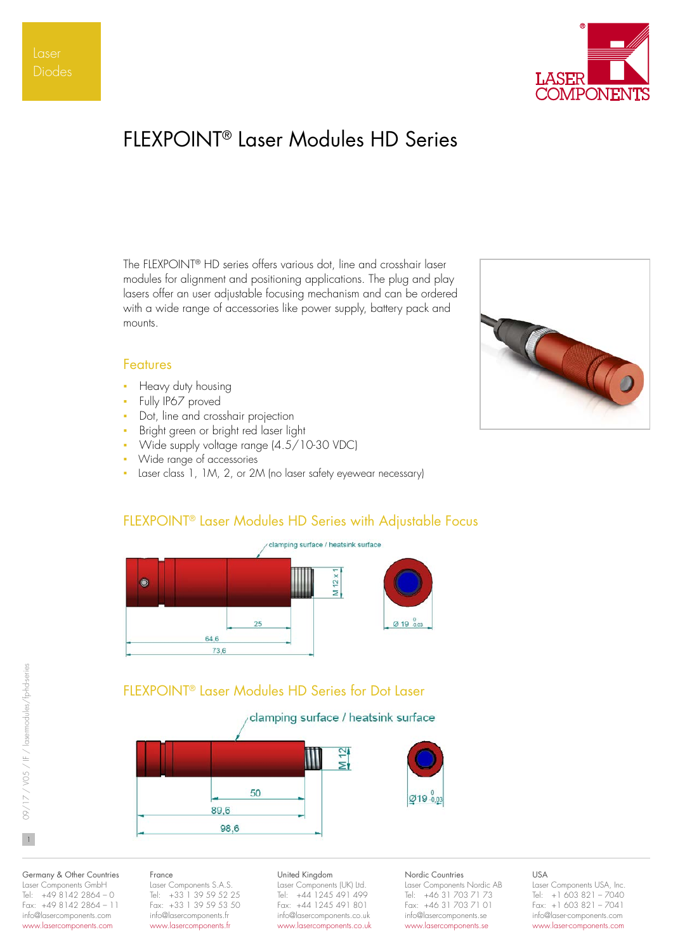

# FLEXPOINT® Laser Modules HD Series

The FLEXPOINT® HD series offers various dot, line and crosshair laser modules for alignment and positioning applications. The plug and play lasers offer an user adjustable focusing mechanism and can be ordered with a wide range of accessories like power supply, battery pack and mounts.

# Co

# Features

- Heavy duty housing
- Fully IP67 proved
- Dot, line and crosshair projection
- Bright green or bright red laser light
- Wide supply voltage range (4.5/10-30 VDC)
- Wide range of accessories
- Laser class 1, 1M, 2, or 2M (no laser safety eyewear necessary)

# FLEXPOINT® Laser Modules HD Series with Adjustable Focus



# FLEXPOINT® Laser Modules HD Series for Dot Laser

# clamping surface / heatsink surface



#### Germany & Other Countries Laser Components GmbH Tel: +49 8142 2864 – 0 Fax: +49 8142 2864 – 11 info@lasercomponents.com

www.lasercomponents.com

## France

Laser Components S.A.S. Tel: +33 1 39 59 52 25 Fax: +33 1 39 59 53 50 info@lasercomponents.fr www.lasercomponents.fr

#### United Kingdom

Laser Components (UK) Ltd. Tel: +44 1245 491 499 Fax: +44 1245 491 801 info@lasercomponents.co.uk www.lasercomponents.co.uk Nordic Countries

Laser Components Nordic AB Tel: +46 31 703 71 73 Fax: +46 31 703 71 01 info@lasercomponents.se www.lasercomponents.se

## USA

Laser Components USA, Inc. Tel: +1 603 821 – 7040 Fax: +1 603 821 – 7041 info@laser-components.com www.laser-components.com

 $\mathbf{1}$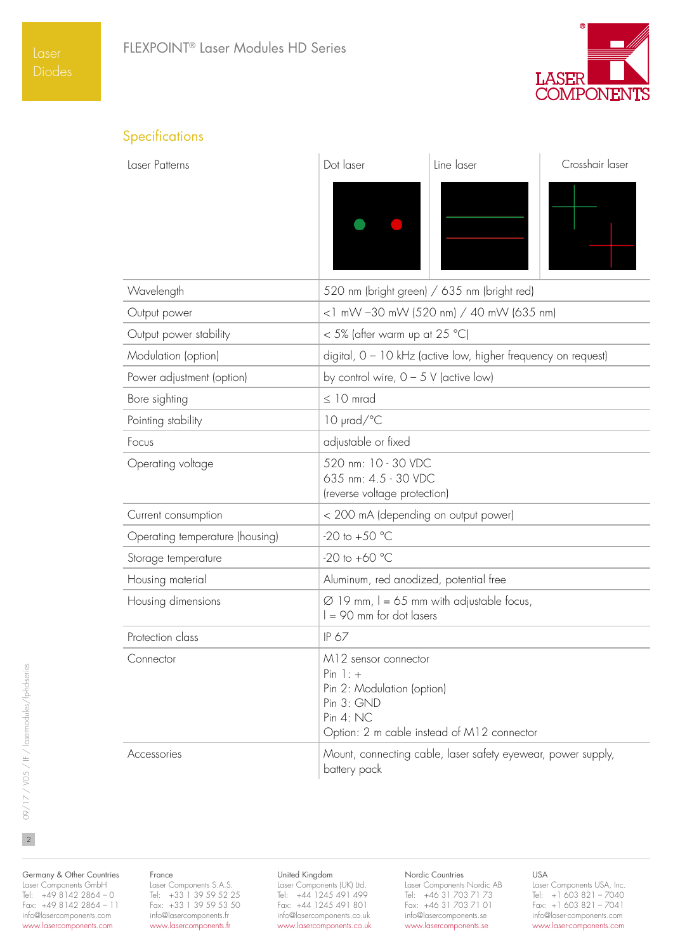

# Specifications

| Laser Patterns                  | Dot laser                                                                                     | Line laser                                                    | Crosshair laser |
|---------------------------------|-----------------------------------------------------------------------------------------------|---------------------------------------------------------------|-----------------|
|                                 |                                                                                               |                                                               |                 |
| Wavelength                      |                                                                                               | 520 nm (bright green) / 635 nm (bright red)                   |                 |
| Output power                    |                                                                                               | <1 mW -30 mW (520 nm) / 40 mW (635 nm)                        |                 |
| Output power stability          | < 5% (after warm up at 25 °C)                                                                 |                                                               |                 |
| Modulation (option)             |                                                                                               | digital, 0 - 10 kHz (active low, higher frequency on request) |                 |
| Power adjustment (option)       | by control wire, $0 - 5$ V (active low)                                                       |                                                               |                 |
| Bore sighting                   | $\leq$ 10 mrad                                                                                |                                                               |                 |
| Pointing stability              | $10 \text{ }$ prad/ $\degree$ C                                                               |                                                               |                 |
| Focus                           | adjustable or fixed                                                                           |                                                               |                 |
| Operating voltage               | 520 nm: 10 - 30 VDC<br>635 nm: 4.5 - 30 VDC<br>(reverse voltage protection)                   |                                                               |                 |
| Current consumption             | < 200 mA (depending on output power)                                                          |                                                               |                 |
| Operating temperature (housing) | $-20$ to $+50$ °C                                                                             |                                                               |                 |
| Storage temperature             | $-20$ to $+60$ °C                                                                             |                                                               |                 |
| Housing material                | Aluminum, red anodized, potential free                                                        |                                                               |                 |
| Housing dimensions              | $\varnothing$ 19 mm, I = 65 mm with adjustable focus,<br>$I = 90$ mm for dot lasers           |                                                               |                 |
| Protection class                | IP 67                                                                                         |                                                               |                 |
| Connector                       | M12 sensor connector<br>$Pin$ $]:$ +<br>Pin 2: Modulation (option)<br>Pin 3: GND<br>Pin 4: NC | Option: 2 m cable instead of M12 connector                    |                 |
| Accessories                     | battery pack                                                                                  | Mount, connecting cable, laser safety eyewear, power supply,  |                 |

Germany & Other Countries Laser Components GmbH Tel: +49 8142 2864 – 0 Fax: +49 8142 2864 – 11

info@lasercomponents.com www.lasercomponents.com

## France

Laser Components S.A.S. Tel: +33 1 39 59 52 25 Fax: +33 1 39 59 53 50 info@lasercomponents.fr www.lasercomponents.fr

#### United Kingdom

Laser Components (UK) Ltd. Tel: +44 1245 491 499 Fax: +44 1245 491 801 info@lasercomponents.co.uk www.lasercomponents.co.uk

## Nordic Countries

Laser Components Nordic AB Tel: +46 31 703 71 73 Fax: +46 31 703 71 01 info@lasercomponents.se www.lasercomponents.se

## USA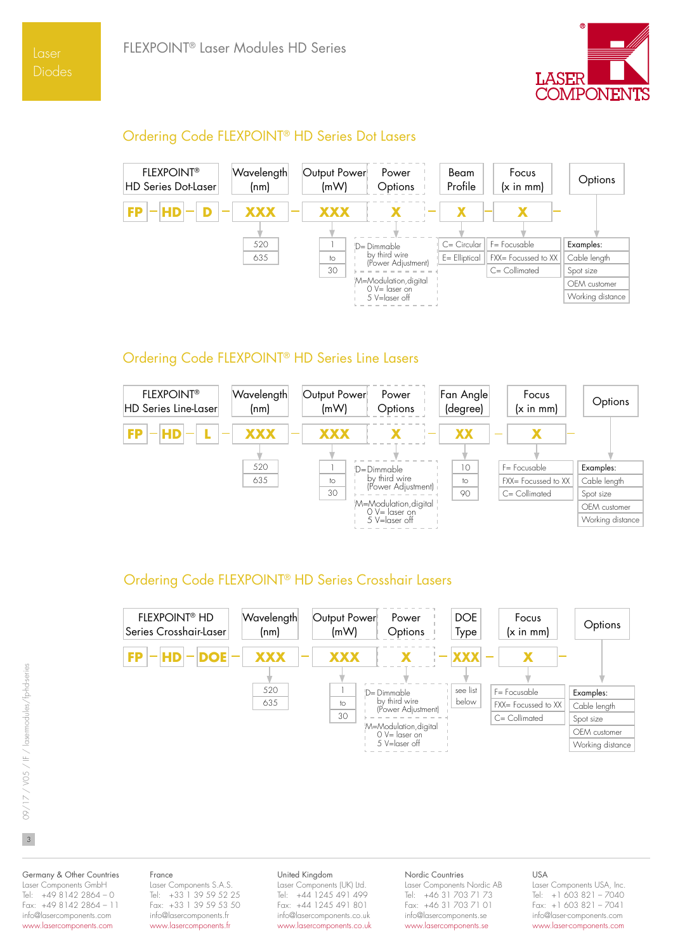

# Ordering Code FLEXPOINT® HD Series Dot Lasers



# Ordering Code FLEXPOINT® HD Series Line Lasers



# Ordering Code FLEXPOINT® HD Series Crosshair Lasers



Germany & Other Countries Laser Components GmbH Tel: +49 8142 2864 – 0 Fax: +49 8142 2864 - 11 info@lasercomponents.com

www.lasercomponents.com

#### France

Laser Components S.A.S. Tel: +33 1 39 59 52 25 Fax: +33 1 39 59 53 50 info@lasercomponents.fr www.lasercomponents.fr

#### United Kingdom

Laser Components (UK) Ltd. Tel: +44 1245 491 499 Fax: +44 1245 491 801 info@lasercomponents.co.uk www.lasercomponents.co.uk

#### Nordic Countries

Laser Components Nordic AB Tel: +46 31 703 71 73 Fax: +46 31 703 71 01 info@lasercomponents.se www.lasercomponents.se

#### USA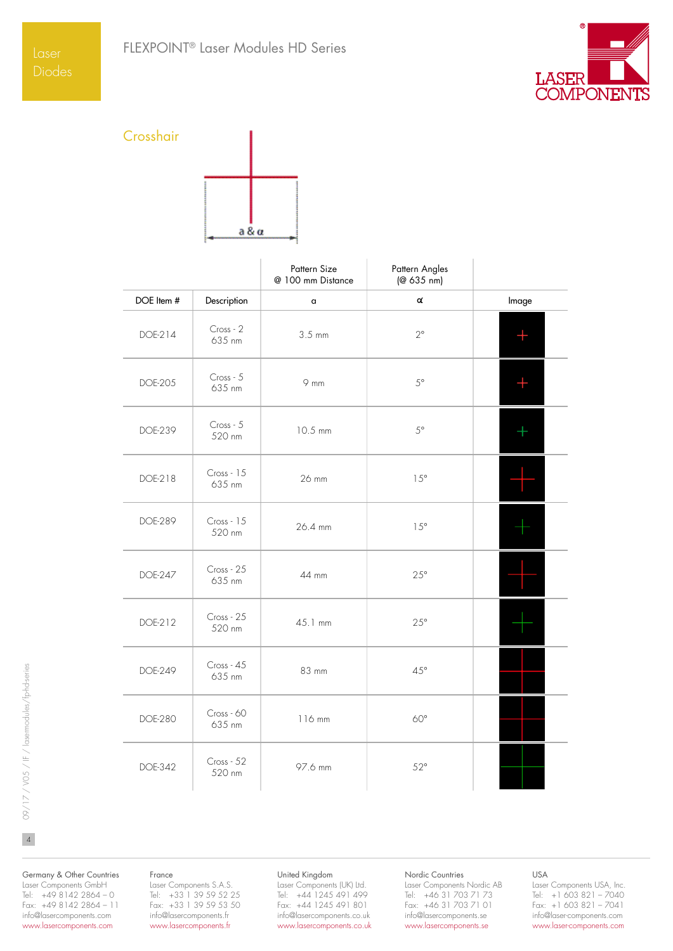

# Crosshair

| a & a |
|-------|
|       |

|                |                      | Pattern Size<br>@ 100 mm Distance | Pattern Angles<br>(@ 635 nm) |                     |
|----------------|----------------------|-----------------------------------|------------------------------|---------------------|
| DOE Item #     | Description          | $\,$ $\,$                         | α                            | Image               |
| DOE-214        | Cross - 2<br>635 nm  | $3.5 \text{ mm}$                  | $2^{\circ}$                  | $\pm$               |
| DOE-205        | Cross - 5<br>635 nm  | 9 mm                              | $5^{\circ}$                  | $\hspace{.011cm} +$ |
| DOE-239        | Cross - 5<br>520 nm  | 10.5 mm                           | $5^{\circ}$                  | $\pm$               |
| DOE-218        | Cross - 15<br>635 nm | 26 mm                             | $15^\circ$                   |                     |
| DOE-289        | Cross - 15<br>520 nm | 26.4 mm                           | $15^{\circ}$                 |                     |
| DOE-247        | Cross - 25<br>635 nm | 44 mm                             | $25^{\circ}$                 |                     |
| DOE-212        | Cross - 25<br>520 nm | 45.1 mm                           | $25^{\circ}$                 |                     |
| DOE-249        | Cross - 45<br>635 nm | 83 mm                             | $45^{\circ}$                 |                     |
| <b>DOE-280</b> | Cross - 60<br>635 nm | 116 mm                            | $60^{\circ}$                 |                     |
| DOE-342        | Cross - 52<br>520 nm | 97.6 mm                           | $52^{\circ}$                 |                     |

Germany & Other Countries Laser Components GmbH Tel: +49 8142 2864 – 0 Fax: +49 8142 2864 – 11 info@lasercomponents.com www.lasercomponents.com

#### France

Laser Components S.A.S. Tel: +33 1 39 59 52 25 Fax: +33 1 39 59 53 50 info@lasercomponents.fr www.lasercomponents.fr

#### United Kingdom

Laser Components (UK) Ltd. Tel: +44 1245 491 499 Fax: +44 1245 491 801 info@lasercomponents.co.uk www.lasercomponents.co.uk

#### Nordic Countries

Laser Components Nordic AB Tel: +46 31 703 71 73 Fax: +46 31 703 71 01 info@lasercomponents.se www.lasercomponents.se

## USA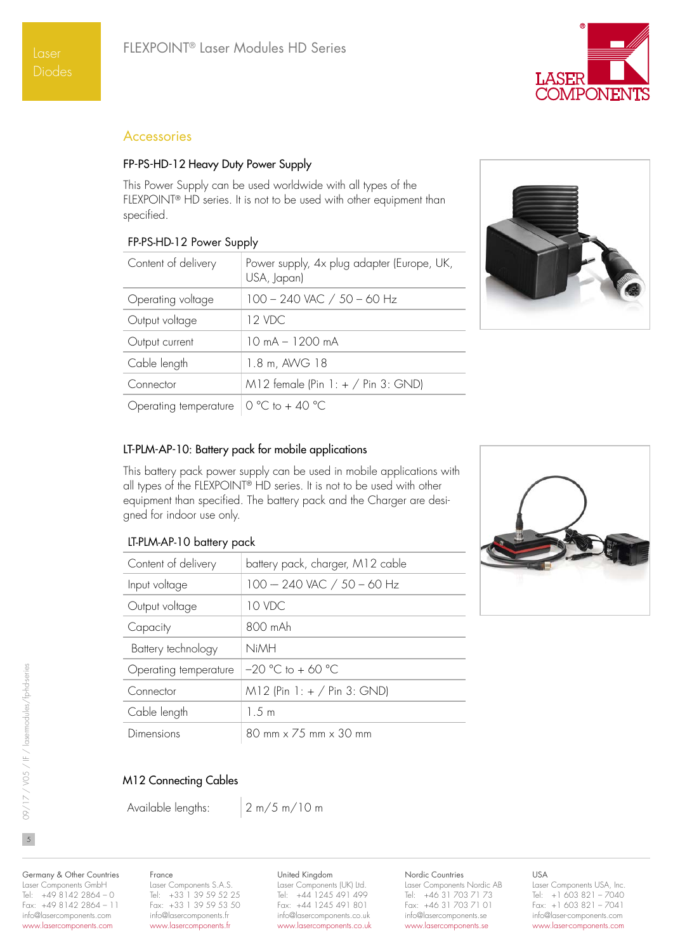

# Accessories

## FP-PS-HD-12 Heavy Duty Power Supply

This Power Supply can be used worldwide with all types of the FLEXPOINT® HD series. It is not to be used with other equipment than specified.

## FP-PS-HD-12 Power Supply

| Content of delivery   | Power supply, 4x plug adapter (Europe, UK,<br>USA, Japan) |
|-----------------------|-----------------------------------------------------------|
| Operating voltage     | $100 - 240$ VAC $/ 50 - 60$ Hz                            |
| Output voltage        | 12 VDC                                                    |
| Output current        | $10 \text{ mA} - 1200 \text{ mA}$                         |
| Cable length          | 1.8 m, AWG 18                                             |
| Connector             | M12 female (Pin $1: + /$ Pin 3: GND)                      |
| Operating temperature | 0 °C to + 40 °C                                           |



# LT-PLM-AP-10: Battery pack for mobile applications

This battery pack power supply can be used in mobile applications with all types of the FLEXPOINT® HD series. It is not to be used with other equipment than specified. The battery pack and the Charger are designed for indoor use only.

# LT-PLM-AP-10 battery pack

| Content of delivery   | battery pack, charger, M12 cable                          |
|-----------------------|-----------------------------------------------------------|
| Input voltage         | $100 - 240$ VAC $/ 50 - 60$ Hz                            |
| Output voltage        | 10 VDC                                                    |
| Capacity              | 800 mAh                                                   |
| Battery technology    | <b>NiMH</b>                                               |
| Operating temperature | $-20$ °C to + 60 °C                                       |
| Connector             | $M12$ (Pin 1: + / Pin 3: GND)                             |
| Cable length          | 1.5 m                                                     |
| Dimensions            | $80 \text{ mm} \times 75 \text{ mm} \times 30 \text{ mm}$ |

## M12 Connecting Cables

Available lengths: 2 m/5 m/10 m

Germany & Other Countries Laser Components GmbH Tel: +49 8142 2864 – 0 Fax: +49 8142 2864 – 11 info@lasercomponents.com www.lasercomponents.com

# France Laser Components S.A.S.

Tel: +33 1 39 59 52 25 Fax: +33 1 39 59 53 50 info@lasercomponents.fr www.lasercomponents.fr

#### United Kingdom

Laser Components (UK) Ltd. Tel: +44 1245 491 499 Fax: +44 1245 491 801 info@lasercomponents.co.uk www.lasercomponents.co.uk

# Nordic Countries

Laser Components Nordic AB Tel: +46 31 703 71 73 Fax: +46 31 703 71 01 info@lasercomponents.se www.lasercomponents.se

## USA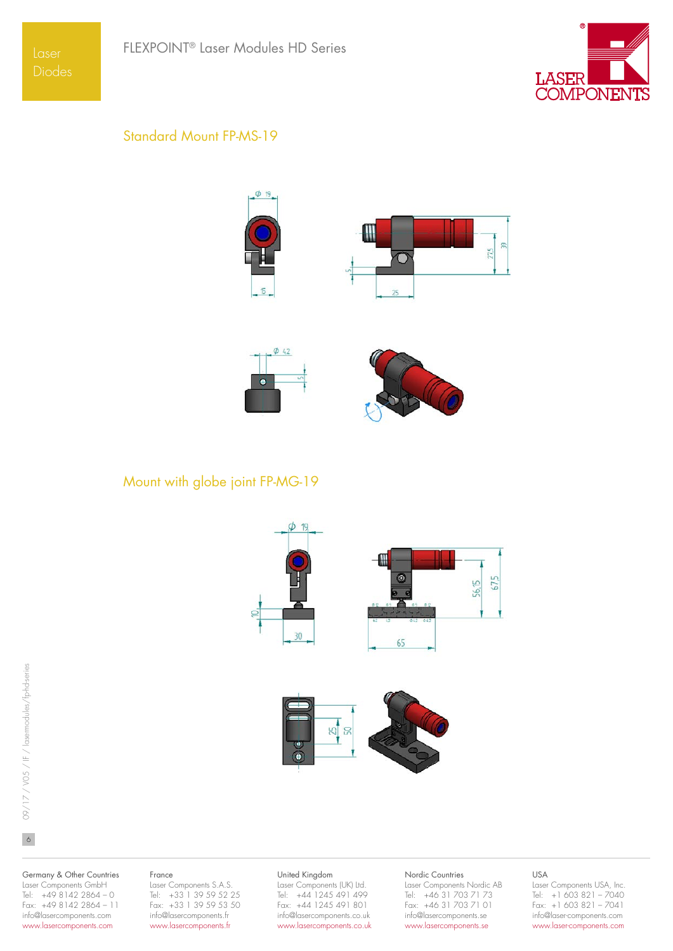

# Standard Mount FP-MS-19







Mount with globe joint FP-MG-19





Germany & Other Countries

Laser Components GmbH Tel: +49 8142 2864 – 0 Fax: +49 8142 2864 – 11 info@lasercomponents.com www.lasercomponents.com

## France

Laser Components S.A.S. Tel: +33 1 39 59 52 25 Fax: +33 1 39 59 53 50 info@lasercomponents.fr www.lasercomponents.fr

#### United Kingdom

Laser Components (UK) Ltd. Tel: +44 1245 491 499 Fax: +44 1245 491 801 info@lasercomponents.co.uk www.lasercomponents.co.uk

#### Nordic Countries

Laser Components Nordic AB Tel: +46 31 703 71 73 Fax: +46 31 703 71 01 info@lasercomponents.se www.lasercomponents.se

#### USA